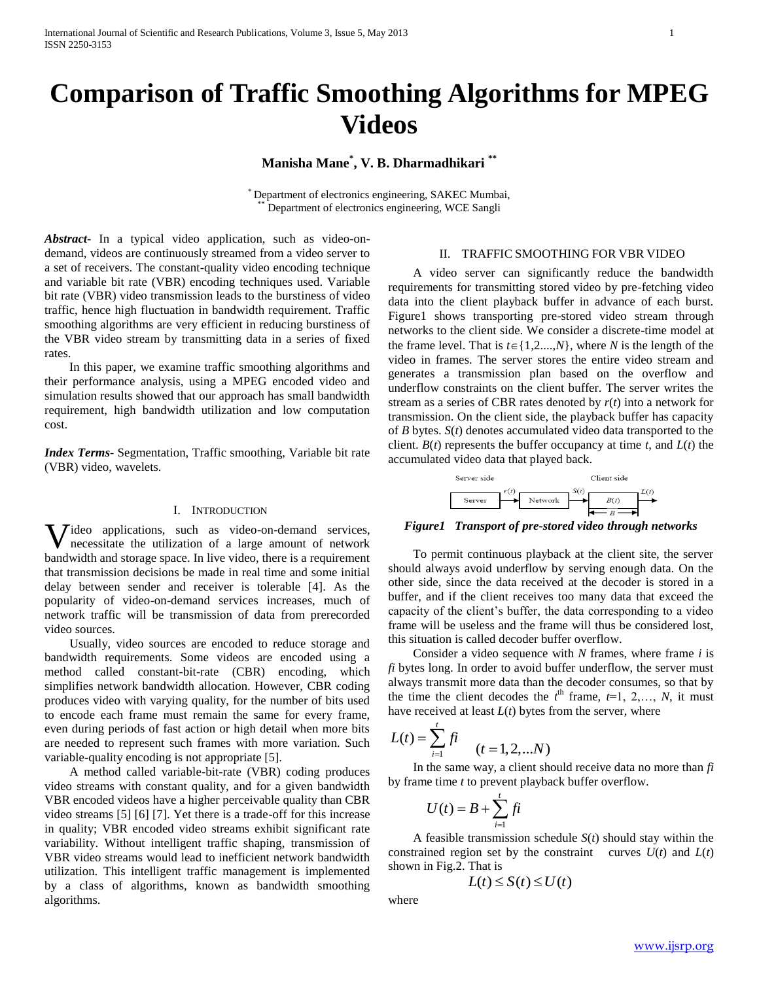# **Comparison of Traffic Smoothing Algorithms for MPEG Videos**

**Manisha Mane\* , V. B. Dharmadhikari \*\***

\* Department of electronics engineering, SAKEC Mumbai, Department of electronics engineering, WCE Sangli

*Abstract***-** In a typical video application, such as video-ondemand, videos are continuously streamed from a video server to a set of receivers. The constant-quality video encoding technique and variable bit rate (VBR) encoding techniques used. Variable bit rate (VBR) video transmission leads to the burstiness of video traffic, hence high fluctuation in bandwidth requirement. Traffic smoothing algorithms are very efficient in reducing burstiness of the VBR video stream by transmitting data in a series of fixed rates.

 In this paper, we examine traffic smoothing algorithms and their performance analysis, using a MPEG encoded video and simulation results showed that our approach has small bandwidth requirement, high bandwidth utilization and low computation cost.

*Index Terms*- Segmentation, Traffic smoothing, Variable bit rate (VBR) video, wavelets.

# I. INTRODUCTION

**V**ideo applications, such as video-on-demand services, necessitate the utilization of a large amount of network necessitate the utilization of a large amount of network bandwidth and storage space. In live video, there is a requirement that transmission decisions be made in real time and some initial delay between sender and receiver is tolerable [4]. As the popularity of video-on-demand services increases, much of network traffic will be transmission of data from prerecorded video sources.

 Usually, video sources are encoded to reduce storage and bandwidth requirements. Some videos are encoded using a method called constant-bit-rate (CBR) encoding, which simplifies network bandwidth allocation. However, CBR coding produces video with varying quality, for the number of bits used to encode each frame must remain the same for every frame, even during periods of fast action or high detail when more bits are needed to represent such frames with more variation. Such variable-quality encoding is not appropriate [5].

 A method called variable-bit-rate (VBR) coding produces video streams with constant quality, and for a given bandwidth VBR encoded videos have a higher perceivable quality than CBR video streams [5] [6] [7]. Yet there is a trade-off for this increase in quality; VBR encoded video streams exhibit significant rate variability. Without intelligent traffic shaping, transmission of VBR video streams would lead to inefficient network bandwidth utilization. This intelligent traffic management is implemented by a class of algorithms, known as bandwidth smoothing algorithms.

## II. TRAFFIC SMOOTHING FOR VBR VIDEO

 A video server can significantly reduce the bandwidth requirements for transmitting stored video by pre-fetching video data into the client playback buffer in advance of each burst. Figure1 shows transporting pre-stored video stream through networks to the client side. We consider a discrete-time model at the frame level. That is  $t \in \{1, 2, ..., N\}$ , where *N* is the length of the video in frames. The server stores the entire video stream and generates a transmission plan based on the overflow and underflow constraints on the client buffer. The server writes the stream as a series of CBR rates denoted by *r*(*t*) into a network for transmission. On the client side, the playback buffer has capacity of *B* bytes. *S*(*t*) denotes accumulated video data transported to the client.  $B(t)$  represents the buffer occupancy at time  $t$ , and  $L(t)$  the accumulated video data that played back.

| Server side |  |         |  | Client side |  |  |
|-------------|--|---------|--|-------------|--|--|
| Server      |  | Network |  | B(t)        |  |  |

*Figure1 Transport of pre-stored video through networks*

 To permit continuous playback at the client site, the server should always avoid underflow by serving enough data. On the other side, since the data received at the decoder is stored in a buffer, and if the client receives too many data that exceed the capacity of the client's buffer, the data corresponding to a video frame will be useless and the frame will thus be considered lost, this situation is called decoder buffer overflow.

 Consider a video sequence with *N* frames, where frame *i* is *fi* bytes long. In order to avoid buffer underflow, the server must always transmit more data than the decoder consumes, so that by the time the client decodes the  $t^{\text{th}}$  frame,  $t=1, 2,..., N$ , it must have received at least *L*(*t*) bytes from the server, where

$$
L(t) = \sum_{i=1}^{t} f i \qquad (t = 1, 2, ... N)
$$

 In the same way, a client should receive data no more than *fi* by frame time *t* to prevent playback buffer overflow.

$$
U(t) = B + \sum_{i=1}^{t} f_i
$$

 A feasible transmission schedule *S*(*t*) should stay within the constrained region set by the constraint curves  $U(t)$  and  $L(t)$ shown in Fig.2. That is

$$
L(t) \leq S(t) \leq U(t)
$$

where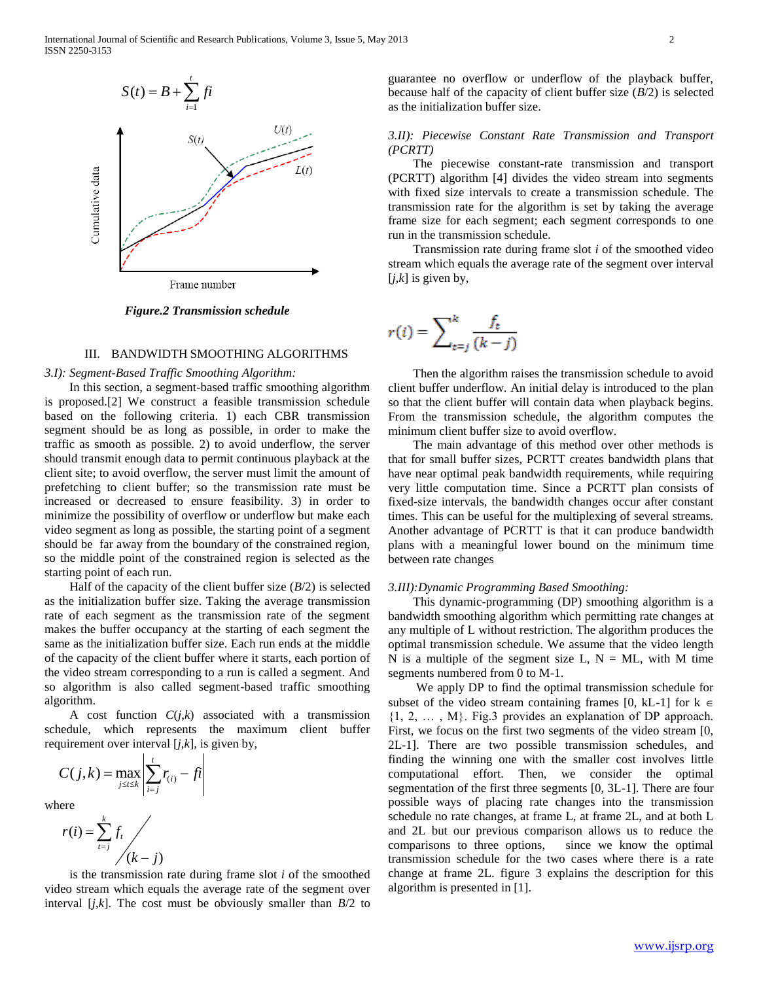

*Figure.2 Transmission schedule*

# III. BANDWIDTH SMOOTHING ALGORITHMS

### *3.I): Segment-Based Traffic Smoothing Algorithm:*

 In this section, a segment-based traffic smoothing algorithm is proposed.[2] We construct a feasible transmission schedule based on the following criteria. 1) each CBR transmission segment should be as long as possible, in order to make the traffic as smooth as possible. 2) to avoid underflow, the server should transmit enough data to permit continuous playback at the client site; to avoid overflow, the server must limit the amount of prefetching to client buffer; so the transmission rate must be increased or decreased to ensure feasibility. 3) in order to minimize the possibility of overflow or underflow but make each video segment as long as possible, the starting point of a segment should be far away from the boundary of the constrained region, so the middle point of the constrained region is selected as the starting point of each run.

Half of the capacity of the client buffer size  $(B/2)$  is selected as the initialization buffer size. Taking the average transmission rate of each segment as the transmission rate of the segment makes the buffer occupancy at the starting of each segment the same as the initialization buffer size. Each run ends at the middle of the capacity of the client buffer where it starts, each portion of the video stream corresponding to a run is called a segment. And so algorithm is also called segment-based traffic smoothing algorithm.

A cost function  $C(j,k)$  associated with a transmission schedule, which represents the maximum client buffer requirement over interval [*j*,*k*], is given by,

$$
C(j,k) = \max_{j \le t \le k} \left| \sum_{i=j}^{t} r_{(i)} - ft \right|
$$

where



 is the transmission rate during frame slot *i* of the smoothed video stream which equals the average rate of the segment over interval  $[j,k]$ . The cost must be obviously smaller than  $B/2$  to guarantee no overflow or underflow of the playback buffer, because half of the capacity of client buffer size (*B*/2) is selected as the initialization buffer size.

## *3.II): Piecewise Constant Rate Transmission and Transport (PCRTT)*

 The piecewise constant-rate transmission and transport (PCRTT) algorithm [4] divides the video stream into segments with fixed size intervals to create a transmission schedule. The transmission rate for the algorithm is set by taking the average frame size for each segment; each segment corresponds to one run in the transmission schedule.

 Transmission rate during frame slot *i* of the smoothed video stream which equals the average rate of the segment over interval  $[j,k]$  is given by,

$$
r(i) = \sum_{t=j}^{k} \frac{f_t}{(k-j)}
$$

 Then the algorithm raises the transmission schedule to avoid client buffer underflow. An initial delay is introduced to the plan so that the client buffer will contain data when playback begins. From the transmission schedule, the algorithm computes the minimum client buffer size to avoid overflow.

 The main advantage of this method over other methods is that for small buffer sizes, PCRTT creates bandwidth plans that have near optimal peak bandwidth requirements, while requiring very little computation time. Since a PCRTT plan consists of fixed-size intervals, the bandwidth changes occur after constant times. This can be useful for the multiplexing of several streams. Another advantage of PCRTT is that it can produce bandwidth plans with a meaningful lower bound on the minimum time between rate changes

#### *3.III):Dynamic Programming Based Smoothing:*

 This dynamic-programming (DP) smoothing algorithm is a bandwidth smoothing algorithm which permitting rate changes at any multiple of L without restriction. The algorithm produces the optimal transmission schedule. We assume that the video length N is a multiple of the segment size L,  $N = ML$ , with M time segments numbered from 0 to M-1.

 We apply DP to find the optimal transmission schedule for subset of the video stream containing frames [0, kL-1] for  $k \in$  ${1, 2, \ldots, M}$ . Fig.3 provides an explanation of DP approach. First, we focus on the first two segments of the video stream [0, 2L-1]. There are two possible transmission schedules, and finding the winning one with the smaller cost involves little computational effort. Then, we consider the optimal segmentation of the first three segments [0, 3L-1]. There are four possible ways of placing rate changes into the transmission schedule no rate changes, at frame L, at frame 2L, and at both L and 2L but our previous comparison allows us to reduce the comparisons to three options, since we know the optimal transmission schedule for the two cases where there is a rate change at frame 2L. figure 3 explains the description for this algorithm is presented in [1].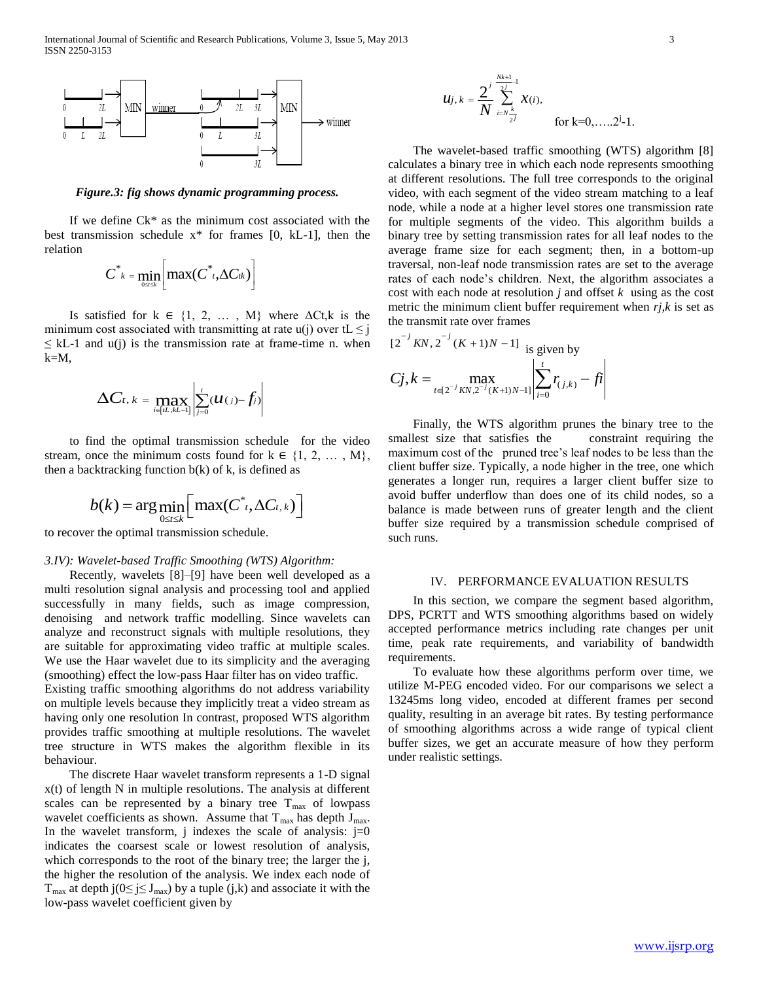

*Figure.3: fig shows dynamic programming process.*

 If we define Ck\* as the minimum cost associated with the best transmission schedule  $x^*$  for frames [0, kL-1], then the relation

$$
C^*_{k} = \min_{0 \leq t \leq k} \left[ \max(C^*_{t}, \Delta C_{tk}) \right]
$$

Is satisfied for  $k \in \{1, 2, ..., M\}$  where  $\Delta C t$ , k is the minimum cost associated with transmitting at rate u(j) over tL  $\leq$  j  $\leq$  kL-1 and u(j) is the transmission rate at frame-time n. when k=M,

$$
\Delta C_{t, k} = \max_{i \in [t.., kL-1]} \left| \sum_{j=0}^{i} (u_{(j)} - f_j) \right|
$$

 to find the optimal transmission schedule for the video stream, once the minimum costs found for  $k \in \{1, 2, ..., M\}$ , then a backtracking function  $b(k)$  of k, is defined as

$$
b(k) = \arg\min_{0 \leq t \leq k} \left[ \max(C^*_{t}, \Delta C_{t,k}) \right]
$$

to recover the optimal transmission schedule.

#### *3.IV): Wavelet-based Traffic Smoothing (WTS) Algorithm:*

 Recently, wavelets [8]–[9] have been well developed as a multi resolution signal analysis and processing tool and applied successfully in many fields, such as image compression, denoising and network traffic modelling. Since wavelets can analyze and reconstruct signals with multiple resolutions, they are suitable for approximating video traffic at multiple scales. We use the Haar wavelet due to its simplicity and the averaging (smoothing) effect the low-pass Haar filter has on video traffic.

Existing traffic smoothing algorithms do not address variability on multiple levels because they implicitly treat a video stream as having only one resolution In contrast, proposed WTS algorithm provides traffic smoothing at multiple resolutions. The wavelet tree structure in WTS makes the algorithm flexible in its behaviour.

 The discrete Haar wavelet transform represents a 1-D signal x(t) of length N in multiple resolutions. The analysis at different scales can be represented by a binary tree  $T_{\text{max}}$  of lowpass wavelet coefficients as shown. Assume that  $T_{\text{max}}$  has depth  $J_{\text{max}}$ . In the wavelet transform, j indexes the scale of analysis:  $j=0$ indicates the coarsest scale or lowest resolution of analysis, which corresponds to the root of the binary tree; the larger the j, the higher the resolution of the analysis. We index each node of  $T_{\text{max}}$  at depth j(0≤ j≤ J<sub>max</sub>) by a tuple (j,k) and associate it with the low-pass wavelet coefficient given by

$$
u_{j,k} = \frac{2^j}{N} \sum_{i=N_{\frac{j}{2}j}}^{ \frac{Nk+1}{2} - 1} x(i),
$$
 for k=0,....2<sup>j</sup>-1.

 The wavelet-based traffic smoothing (WTS) algorithm [8] calculates a binary tree in which each node represents smoothing at different resolutions. The full tree corresponds to the original video, with each segment of the video stream matching to a leaf node, while a node at a higher level stores one transmission rate for multiple segments of the video. This algorithm builds a binary tree by setting transmission rates for all leaf nodes to the average frame size for each segment; then, in a bottom-up traversal, non-leaf node transmission rates are set to the average rates of each node's children. Next, the algorithm associates a cost with each node at resolution *j* and offset *k* using as the cost metric the minimum client buffer requirement when *rj,k* is set as the transmit rate over frames

$$
[2^{-j} KN, 2^{-j} (K+1)N-1] \text{ is given by}
$$
  

$$
Cj, k = \max_{t \in [2^{-j} KN, 2^{-j} (K+1)N-1]} \left| \sum_{i=0}^{t} r_{(j,k)} - ft \right|
$$

 Finally, the WTS algorithm prunes the binary tree to the smallest size that satisfies the constraint requiring the maximum cost of the pruned tree's leaf nodes to be less than the client buffer size. Typically, a node higher in the tree, one which generates a longer run, requires a larger client buffer size to avoid buffer underflow than does one of its child nodes, so a balance is made between runs of greater length and the client buffer size required by a transmission schedule comprised of such runs.

#### IV. PERFORMANCE EVALUATION RESULTS

 In this section, we compare the segment based algorithm, DPS, PCRTT and WTS smoothing algorithms based on widely accepted performance metrics including rate changes per unit time, peak rate requirements, and variability of bandwidth requirements.

 To evaluate how these algorithms perform over time, we utilize M-PEG encoded video. For our comparisons we select a 13245ms long video, encoded at different frames per second quality, resulting in an average bit rates. By testing performance of smoothing algorithms across a wide range of typical client buffer sizes, we get an accurate measure of how they perform under realistic settings.